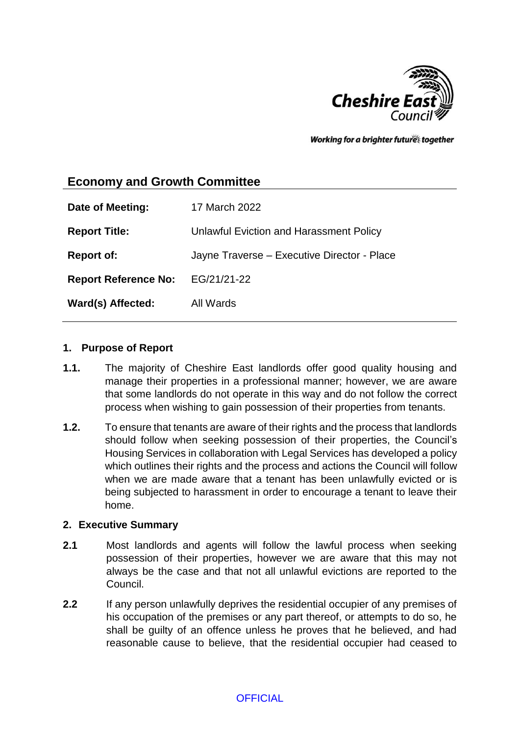

Working for a brighter futures together

# **Economy and Growth Committee**

| Date of Meeting:            | 17 March 2022                               |
|-----------------------------|---------------------------------------------|
| <b>Report Title:</b>        | Unlawful Eviction and Harassment Policy     |
| <b>Report of:</b>           | Jayne Traverse - Executive Director - Place |
| <b>Report Reference No:</b> | EG/21/21-22                                 |
| Ward(s) Affected:           | All Wards                                   |

#### **1. Purpose of Report**

- **1.1.** The majority of Cheshire East landlords offer good quality housing and manage their properties in a professional manner; however, we are aware that some landlords do not operate in this way and do not follow the correct process when wishing to gain possession of their properties from tenants.
- **1.2.** To ensure that tenants are aware of their rights and the process that landlords should follow when seeking possession of their properties, the Council's Housing Services in collaboration with Legal Services has developed a policy which outlines their rights and the process and actions the Council will follow when we are made aware that a tenant has been unlawfully evicted or is being subjected to harassment in order to encourage a tenant to leave their home.

#### **2. Executive Summary**

- **2.1** Most landlords and agents will follow the lawful process when seeking possession of their properties, however we are aware that this may not always be the case and that not all unlawful evictions are reported to the Council.
- **2.2** If any person unlawfully deprives the residential occupier of any premises of his occupation of the premises or any part thereof, or attempts to do so, he shall be guilty of an offence unless he proves that he believed, and had reasonable cause to believe, that the residential occupier had ceased to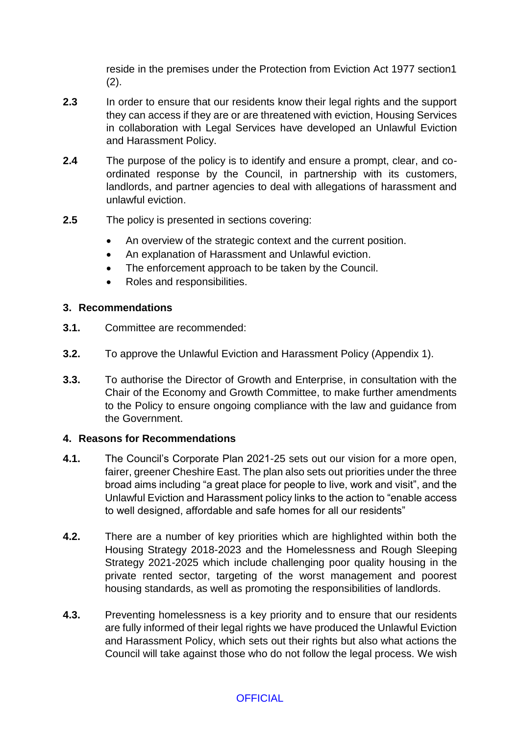reside in the premises under the Protection from Eviction Act 1977 section1  $(2).$ 

- **2.3** In order to ensure that our residents know their legal rights and the support they can access if they are or are threatened with eviction, Housing Services in collaboration with Legal Services have developed an Unlawful Eviction and Harassment Policy.
- **2.4** The purpose of the policy is to identify and ensure a prompt, clear, and coordinated response by the Council, in partnership with its customers, landlords, and partner agencies to deal with allegations of harassment and unlawful eviction.
- **2.5** The policy is presented in sections covering:
	- An overview of the strategic context and the current position.
	- An explanation of Harassment and Unlawful eviction.
	- The enforcement approach to be taken by the Council.
	- Roles and responsibilities.

## **3. Recommendations**

- **3.1.** Committee are recommended:
- **3.2.** To approve the Unlawful Eviction and Harassment Policy (Appendix 1).
- **3.3.** To authorise the Director of Growth and Enterprise, in consultation with the Chair of the Economy and Growth Committee, to make further amendments to the Policy to ensure ongoing compliance with the law and guidance from the Government.

## **4. Reasons for Recommendations**

- **4.1.** The Council's Corporate Plan 2021-25 sets out our vision for a more open, fairer, greener Cheshire East. The plan also sets out priorities under the three broad aims including "a great place for people to live, work and visit", and the Unlawful Eviction and Harassment policy links to the action to "enable access to well designed, affordable and safe homes for all our residents"
- **4.2.** There are a number of key priorities which are highlighted within both the Housing Strategy 2018-2023 and the Homelessness and Rough Sleeping Strategy 2021-2025 which include challenging poor quality housing in the private rented sector, targeting of the worst management and poorest housing standards, as well as promoting the responsibilities of landlords.
- **4.3.** Preventing homelessness is a key priority and to ensure that our residents are fully informed of their legal rights we have produced the Unlawful Eviction and Harassment Policy, which sets out their rights but also what actions the Council will take against those who do not follow the legal process. We wish

# **OFFICIAL**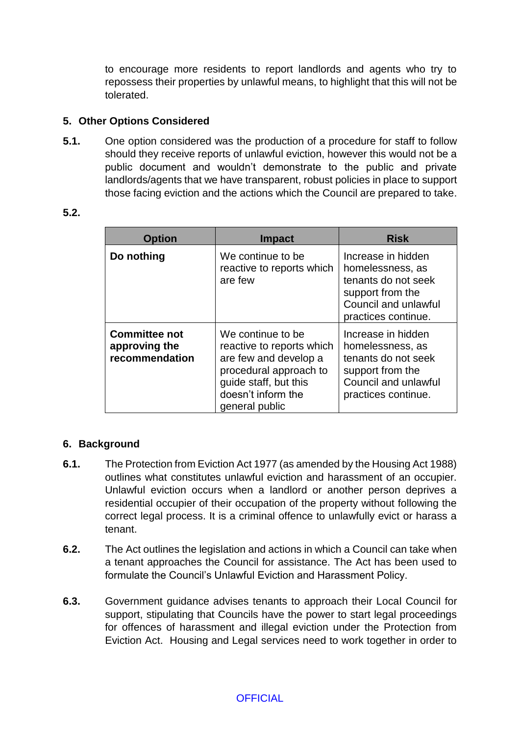to encourage more residents to report landlords and agents who try to repossess their properties by unlawful means, to highlight that this will not be tolerated.

## **5. Other Options Considered**

**5.1.** One option considered was the production of a procedure for staff to follow should they receive reports of unlawful eviction, however this would not be a public document and wouldn't demonstrate to the public and private landlords/agents that we have transparent, robust policies in place to support those facing eviction and the actions which the Council are prepared to take.

#### **5.2.**

| <b>Option</b>                                           | <b>Impact</b>                                                                                                                                                      | <b>Risk</b>                                                                                                                      |
|---------------------------------------------------------|--------------------------------------------------------------------------------------------------------------------------------------------------------------------|----------------------------------------------------------------------------------------------------------------------------------|
| Do nothing                                              | We continue to be<br>reactive to reports which<br>are few                                                                                                          | Increase in hidden<br>homelessness, as<br>tenants do not seek<br>support from the<br>Council and unlawful<br>practices continue. |
| <b>Committee not</b><br>approving the<br>recommendation | We continue to be<br>reactive to reports which<br>are few and develop a<br>procedural approach to<br>guide staff, but this<br>doesn't inform the<br>general public | Increase in hidden<br>homelessness, as<br>tenants do not seek<br>support from the<br>Council and unlawful<br>practices continue. |

# **6. Background**

- **6.1.** The Protection from Eviction Act 1977 (as amended by the Housing Act 1988) outlines what constitutes unlawful eviction and harassment of an occupier. Unlawful eviction occurs when a landlord or another person deprives a residential occupier of their occupation of the property without following the correct legal process. It is a criminal offence to unlawfully evict or harass a tenant.
- **6.2.** The Act outlines the legislation and actions in which a Council can take when a tenant approaches the Council for assistance. The Act has been used to formulate the Council's Unlawful Eviction and Harassment Policy.
- **6.3.** Government guidance advises tenants to approach their Local Council for support, stipulating that Councils have the power to start legal proceedings for offences of harassment and illegal eviction under the Protection from Eviction Act. Housing and Legal services need to work together in order to

## **OFFICIAL**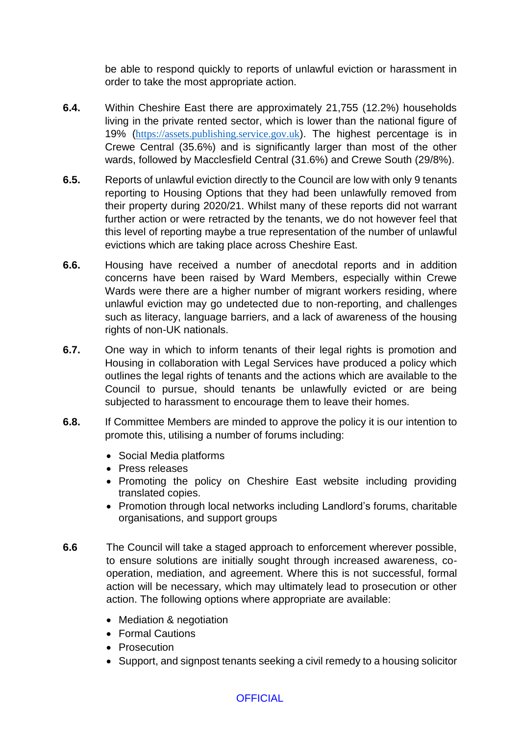be able to respond quickly to reports of unlawful eviction or harassment in order to take the most appropriate action.

- **6.4.** Within Cheshire East there are approximately 21,755 (12.2%) households living in the private rented sector, which is lower than the national figure of 19% ([https://assets.publishing.service.gov.uk](https://assets.publishing.service.gov.uk/)). The highest percentage is in Crewe Central (35.6%) and is significantly larger than most of the other wards, followed by Macclesfield Central (31.6%) and Crewe South (29/8%).
- **6.5.** Reports of unlawful eviction directly to the Council are low with only 9 tenants reporting to Housing Options that they had been unlawfully removed from their property during 2020/21. Whilst many of these reports did not warrant further action or were retracted by the tenants, we do not however feel that this level of reporting maybe a true representation of the number of unlawful evictions which are taking place across Cheshire East.
- **6.6.** Housing have received a number of anecdotal reports and in addition concerns have been raised by Ward Members, especially within Crewe Wards were there are a higher number of migrant workers residing, where unlawful eviction may go undetected due to non-reporting, and challenges such as literacy, language barriers, and a lack of awareness of the housing rights of non-UK nationals.
- **6.7.** One way in which to inform tenants of their legal rights is promotion and Housing in collaboration with Legal Services have produced a policy which outlines the legal rights of tenants and the actions which are available to the Council to pursue, should tenants be unlawfully evicted or are being subjected to harassment to encourage them to leave their homes.
- **6.8.** If Committee Members are minded to approve the policy it is our intention to promote this, utilising a number of forums including:
	- Social Media platforms
	- Press releases
	- Promoting the policy on Cheshire East website including providing translated copies.
	- Promotion through local networks including Landlord's forums, charitable organisations, and support groups
- **6.6** The Council will take a staged approach to enforcement wherever possible, to ensure solutions are initially sought through increased awareness, cooperation, mediation, and agreement. Where this is not successful, formal action will be necessary, which may ultimately lead to prosecution or other action. The following options where appropriate are available:
	- Mediation & negotiation
	- Formal Cautions
	- Prosecution
	- Support, and signpost tenants seeking a civil remedy to a housing solicitor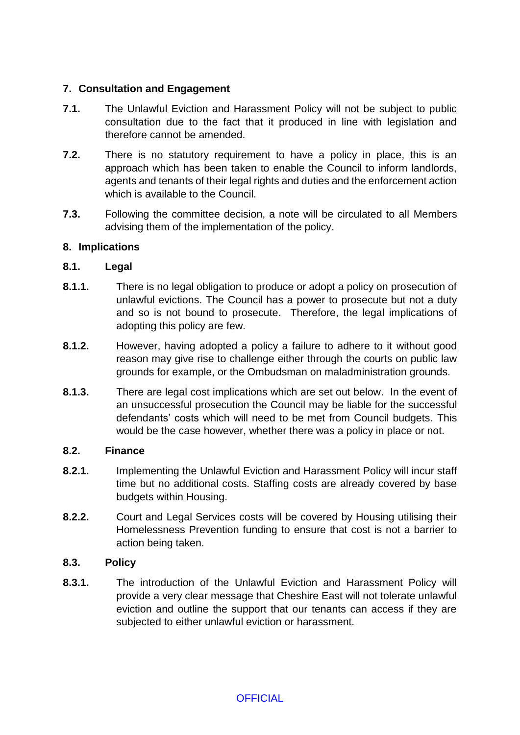# **7. Consultation and Engagement**

- **7.1.** The Unlawful Eviction and Harassment Policy will not be subject to public consultation due to the fact that it produced in line with legislation and therefore cannot be amended.
- **7.2.** There is no statutory requirement to have a policy in place, this is an approach which has been taken to enable the Council to inform landlords, agents and tenants of their legal rights and duties and the enforcement action which is available to the Council.
- **7.3.** Following the committee decision, a note will be circulated to all Members advising them of the implementation of the policy.

## **8. Implications**

## **8.1. Legal**

- **8.1.1.** There is no legal obligation to produce or adopt a policy on prosecution of unlawful evictions. The Council has a power to prosecute but not a duty and so is not bound to prosecute. Therefore, the legal implications of adopting this policy are few.
- **8.1.2.** However, having adopted a policy a failure to adhere to it without good reason may give rise to challenge either through the courts on public law grounds for example, or the Ombudsman on maladministration grounds.
- **8.1.3.** There are legal cost implications which are set out below. In the event of an unsuccessful prosecution the Council may be liable for the successful defendants' costs which will need to be met from Council budgets. This would be the case however, whether there was a policy in place or not.

## **8.2. Finance**

- **8.2.1.** Implementing the Unlawful Eviction and Harassment Policy will incur staff time but no additional costs. Staffing costs are already covered by base budgets within Housing.
- **8.2.2.** Court and Legal Services costs will be covered by Housing utilising their Homelessness Prevention funding to ensure that cost is not a barrier to action being taken.

## **8.3. Policy**

**8.3.1.** The introduction of the Unlawful Eviction and Harassment Policy will provide a very clear message that Cheshire East will not tolerate unlawful eviction and outline the support that our tenants can access if they are subjected to either unlawful eviction or harassment.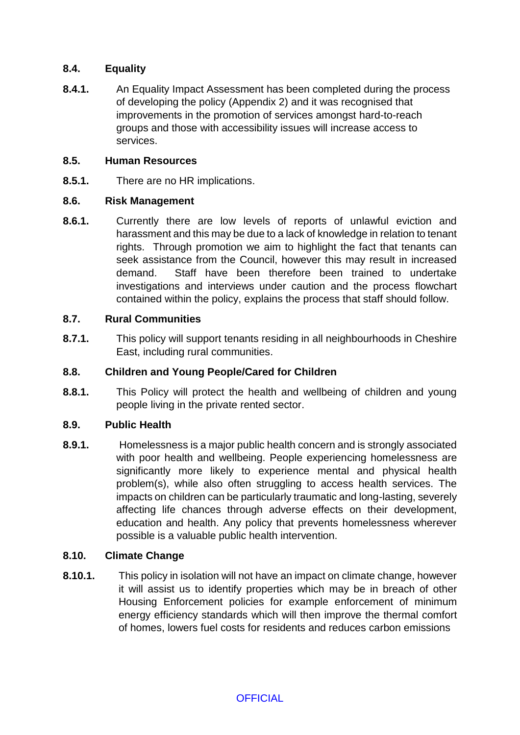## **8.4. Equality**

**8.4.1.** An Equality Impact Assessment has been completed during the process of developing the policy (Appendix 2) and it was recognised that improvements in the promotion of services amongst hard-to-reach groups and those with accessibility issues will increase access to services.

## **8.5. Human Resources**

**8.5.1.** There are no HR implications.

## **8.6. Risk Management**

**8.6.1.** Currently there are low levels of reports of unlawful eviction and harassment and this may be due to a lack of knowledge in relation to tenant rights. Through promotion we aim to highlight the fact that tenants can seek assistance from the Council, however this may result in increased demand. Staff have been therefore been trained to undertake investigations and interviews under caution and the process flowchart contained within the policy, explains the process that staff should follow.

# **8.7. Rural Communities**

**8.7.1.** This policy will support tenants residing in all neighbourhoods in Cheshire East, including rural communities.

# **8.8. Children and Young People/Cared for Children**

**8.8.1.** This Policy will protect the health and wellbeing of children and young people living in the private rented sector.

# **8.9. Public Health**

**8.9.1.** Homelessness is a major public health concern and is strongly associated with poor health and wellbeing. People experiencing homelessness are significantly more likely to experience mental and physical health problem(s), while also often struggling to access health services. The impacts on children can be particularly traumatic and long-lasting, severely affecting life chances through adverse effects on their development, education and health. Any policy that prevents homelessness wherever possible is a valuable public health intervention.

# **8.10. Climate Change**

**8.10.1.** This policy in isolation will not have an impact on climate change, however it will assist us to identify properties which may be in breach of other Housing Enforcement policies for example enforcement of minimum energy efficiency standards which will then improve the thermal comfort of homes, lowers fuel costs for residents and reduces carbon emissions